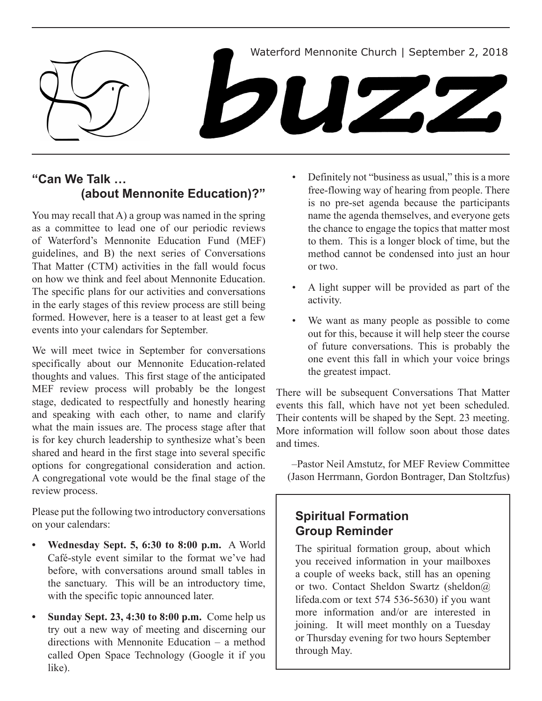

## **"Can We Talk … (about Mennonite Education)?"**

You may recall that A) a group was named in the spring as a committee to lead one of our periodic reviews of Waterford's Mennonite Education Fund (MEF) guidelines, and B) the next series of Conversations That Matter (CTM) activities in the fall would focus on how we think and feel about Mennonite Education. The specific plans for our activities and conversations in the early stages of this review process are still being formed. However, here is a teaser to at least get a few events into your calendars for September.

We will meet twice in September for conversations specifically about our Mennonite Education-related thoughts and values. This first stage of the anticipated MEF review process will probably be the longest stage, dedicated to respectfully and honestly hearing and speaking with each other, to name and clarify what the main issues are. The process stage after that is for key church leadership to synthesize what's been shared and heard in the first stage into several specific options for congregational consideration and action. A congregational vote would be the final stage of the review process.

Please put the following two introductory conversations on your calendars:

- **• Wednesday Sept. 5, 6:30 to 8:00 p.m.** A World Café-style event similar to the format we've had before, with conversations around small tables in the sanctuary. This will be an introductory time, with the specific topic announced later.
- **Sunday Sept. 23, 4:30 to 8:00 p.m.** Come help us try out a new way of meeting and discerning our directions with Mennonite Education – a method called Open Space Technology (Google it if you like).
- Definitely not "business as usual," this is a more free-flowing way of hearing from people. There is no pre-set agenda because the participants name the agenda themselves, and everyone gets the chance to engage the topics that matter most to them. This is a longer block of time, but the method cannot be condensed into just an hour or two.
- • A light supper will be provided as part of the activity.
- We want as many people as possible to come out for this, because it will help steer the course of future conversations. This is probably the one event this fall in which your voice brings the greatest impact.

There will be subsequent Conversations That Matter events this fall, which have not yet been scheduled. Their contents will be shaped by the Sept. 23 meeting. More information will follow soon about those dates and times.

–Pastor Neil Amstutz, for MEF Review Committee (Jason Herrmann, Gordon Bontrager, Dan Stoltzfus)

# **Spiritual Formation Group Reminder**

The spiritual formation group, about which you received information in your mailboxes a couple of weeks back, still has an opening or two. Contact Sheldon Swartz (sheldon@ lifeda.com or text 574 536-5630) if you want more information and/or are interested in joining. It will meet monthly on a Tuesday or Thursday evening for two hours September through May.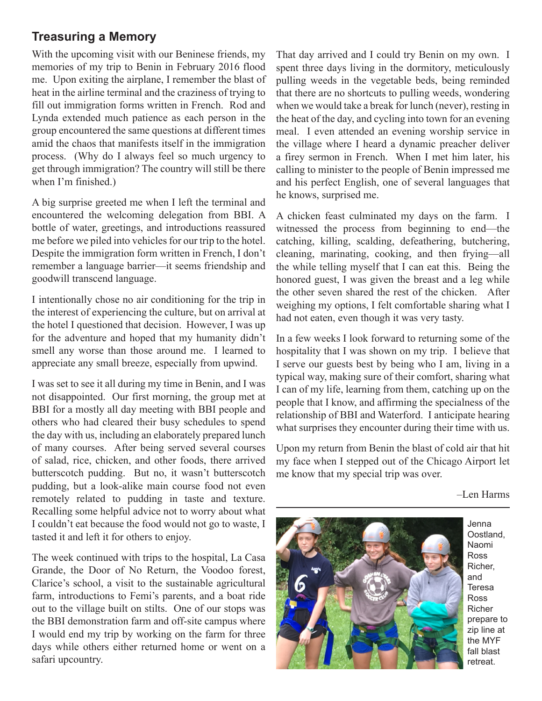## **Treasuring a Memory**

With the upcoming visit with our Beninese friends, my memories of my trip to Benin in February 2016 flood me. Upon exiting the airplane, I remember the blast of heat in the airline terminal and the craziness of trying to fill out immigration forms written in French. Rod and Lynda extended much patience as each person in the group encountered the same questions at different times amid the chaos that manifests itself in the immigration process. (Why do I always feel so much urgency to get through immigration? The country will still be there when I'm finished.)

A big surprise greeted me when I left the terminal and encountered the welcoming delegation from BBI. A bottle of water, greetings, and introductions reassured me before we piled into vehicles for our trip to the hotel. Despite the immigration form written in French, I don't remember a language barrier—it seems friendship and goodwill transcend language.

I intentionally chose no air conditioning for the trip in the interest of experiencing the culture, but on arrival at the hotel I questioned that decision. However, I was up for the adventure and hoped that my humanity didn't smell any worse than those around me. I learned to appreciate any small breeze, especially from upwind.

I was set to see it all during my time in Benin, and I was not disappointed. Our first morning, the group met at BBI for a mostly all day meeting with BBI people and others who had cleared their busy schedules to spend the day with us, including an elaborately prepared lunch of many courses. After being served several courses of salad, rice, chicken, and other foods, there arrived butterscotch pudding. But no, it wasn't butterscotch pudding, but a look-alike main course food not even remotely related to pudding in taste and texture. Recalling some helpful advice not to worry about what I couldn't eat because the food would not go to waste, I tasted it and left it for others to enjoy.

The week continued with trips to the hospital, La Casa Grande, the Door of No Return, the Voodoo forest, Clarice's school, a visit to the sustainable agricultural farm, introductions to Femi's parents, and a boat ride out to the village built on stilts. One of our stops was the BBI demonstration farm and off-site campus where I would end my trip by working on the farm for three days while others either returned home or went on a safari upcountry.

That day arrived and I could try Benin on my own. I spent three days living in the dormitory, meticulously pulling weeds in the vegetable beds, being reminded that there are no shortcuts to pulling weeds, wondering when we would take a break for lunch (never), resting in the heat of the day, and cycling into town for an evening meal. I even attended an evening worship service in the village where I heard a dynamic preacher deliver a firey sermon in French. When I met him later, his calling to minister to the people of Benin impressed me and his perfect English, one of several languages that he knows, surprised me.

A chicken feast culminated my days on the farm. I witnessed the process from beginning to end—the catching, killing, scalding, defeathering, butchering, cleaning, marinating, cooking, and then frying—all the while telling myself that I can eat this. Being the honored guest, I was given the breast and a leg while the other seven shared the rest of the chicken. After weighing my options, I felt comfortable sharing what I had not eaten, even though it was very tasty.

In a few weeks I look forward to returning some of the hospitality that I was shown on my trip. I believe that I serve our guests best by being who I am, living in a typical way, making sure of their comfort, sharing what I can of my life, learning from them, catching up on the people that I know, and affirming the specialness of the relationship of BBI and Waterford. I anticipate hearing what surprises they encounter during their time with us.

Upon my return from Benin the blast of cold air that hit my face when I stepped out of the Chicago Airport let me know that my special trip was over.

–Len Harms



Oostland, Naomi Ross Richer, and Teresa Ross Richer prepare to zip line at the MYF fall blast retreat.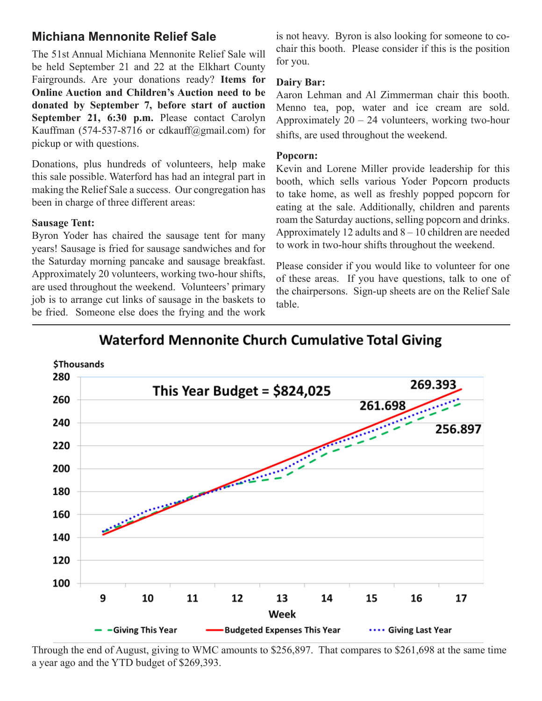## **Michiana Mennonite Relief Sale**

The 51st Annual Michiana Mennonite Relief Sale will be held September 21 and 22 at the Elkhart County Fairgrounds. Are your donations ready? **Items for Online Auction and Children's Auction need to be donated by September 7, before start of auction September 21, 6:30 p.m.** Please contact Carolyn Kauffman (574-537-8716 or cdkauff@gmail.com) for pickup or with questions.

Donations, plus hundreds of volunteers, help make this sale possible. Waterford has had an integral part in making the Relief Sale a success. Our congregation has been in charge of three different areas:

### **Sausage Tent:**

Byron Yoder has chaired the sausage tent for many years! Sausage is fried for sausage sandwiches and for the Saturday morning pancake and sausage breakfast. Approximately 20 volunteers, working two-hour shifts, are used throughout the weekend. Volunteers' primary job is to arrange cut links of sausage in the baskets to be fried. Someone else does the frying and the work is not heavy. Byron is also looking for someone to cochair this booth. Please consider if this is the position for you.

## **Dairy Bar:**

Aaron Lehman and Al Zimmerman chair this booth. Menno tea, pop, water and ice cream are sold. Approximately  $20 - 24$  volunteers, working two-hour shifts, are used throughout the weekend.

### **Popcorn:**

Kevin and Lorene Miller provide leadership for this booth, which sells various Yoder Popcorn products to take home, as well as freshly popped popcorn for eating at the sale. Additionally, children and parents roam the Saturday auctions, selling popcorn and drinks. Approximately 12 adults and  $8 - 10$  children are needed to work in two-hour shifts throughout the weekend.

Please consider if you would like to volunteer for one of these areas. If you have questions, talk to one of the chairpersons. Sign-up sheets are on the Relief Sale table.

# **Waterford Mennonite Church Cumulative Total Giving**



Through the end of August, giving to WMC amounts to \$256,897. That compares to \$261,698 at the same time a year ago and the YTD budget of \$269,393.